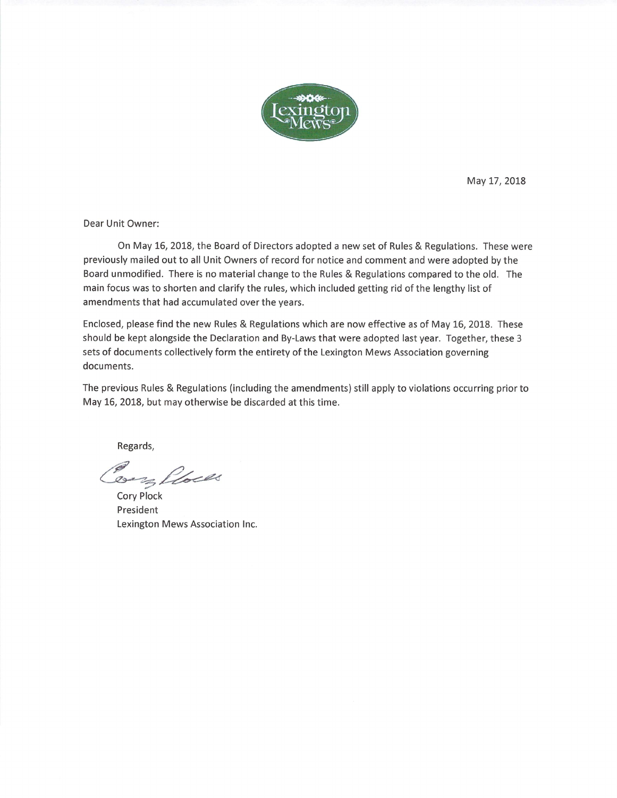

May 17, 2018

Dear Unit Owner:

On May 16, 2018, the Board of Directors adopted a new set of Rules & Regulations. These were previously mailed out to all Unit Owners of record for notice and comment and were adopted by the Board unmodified. There is no material change to the Rules & Regulations compared to the old. The main focus was to shorten and clarify the rules, which included getting rid of the lengthy list of amendments that had accumulated over the years.

Enclosed, please find the new Rules & Regulations which are now effective as of May 16, 2018. These should be kept alongside the Declaration and By-Laws that were adopted last year. Together, these 3 sets of documents collectively form the entirety of the Lexington Mews Association governing documents.

The previous Rules & Regulations (including the amendments) still apply to violations occurring prior to May 16, 2018, but may otherwise be discarded at this time.

Regards,

Bar Ploces

**Cory Plock** President Lexington Mews Association Inc.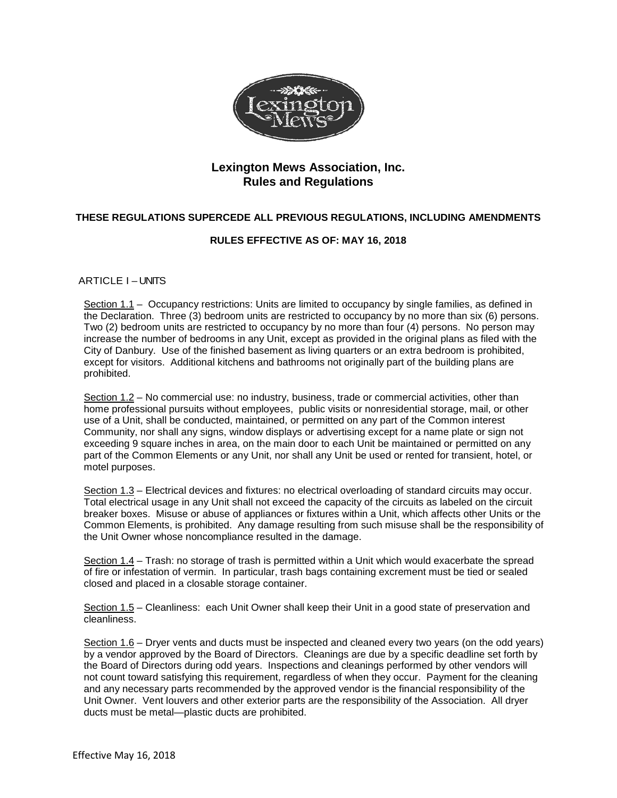

#### **Lexington Mews Association, Inc. Rules and Regulations**

#### **THESE REGULATIONS SUPERCEDE ALL PREVIOUS REGULATIONS, INCLUDING AMENDMENTS**

#### **RULES EFFECTIVE AS OF: MAY 16, 2018**

#### ARTICLE I-UNITS

Section 1.1 – Occupancy restrictions: Units are limited to occupancy by single families, as defined in the Declaration. Three (3) bedroom units are restricted to occupancy by no more than six (6) persons. Two (2) bedroom units are restricted to occupancy by no more than four (4) persons. No person may increase the number of bedrooms in any Unit, except as provided in the original plans as filed with the City of Danbury. Use of the finished basement as living quarters or an extra bedroom is prohibited, except for visitors. Additional kitchens and bathrooms not originally part of the building plans are prohibited.

Section 1.2 – No commercial use: no industry, business, trade or commercial activities, other than home professional pursuits without employees, public visits or nonresidential storage, mail, or other use of a Unit, shall be conducted, maintained, or permitted on any part of the Common interest Community, nor shall any signs, window displays or advertising except for a name plate or sign not exceeding 9 square inches in area, on the main door to each Unit be maintained or permitted on any part of the Common Elements or any Unit, nor shall any Unit be used or rented for transient, hotel, or motel purposes.

Section 1.3 – Electrical devices and fixtures: no electrical overloading of standard circuits may occur. Total electrical usage in any Unit shall not exceed the capacity of the circuits as labeled on the circuit breaker boxes. Misuse or abuse of appliances or fixtures within a Unit, which affects other Units or the Common Elements, is prohibited. Any damage resulting from such misuse shall be the responsibility of the Unit Owner whose noncompliance resulted in the damage.

Section 1.4 – Trash: no storage of trash is permitted within a Unit which would exacerbate the spread of fire or infestation of vermin. In particular, trash bags containing excrement must be tied or sealed closed and placed in a closable storage container.

Section 1.5 – Cleanliness: each Unit Owner shall keep their Unit in a good state of preservation and cleanliness.

Section 1.6 – Dryer vents and ducts must be inspected and cleaned every two years (on the odd years) by a vendor approved by the Board of Directors. Cleanings are due by a specific deadline set forth by the Board of Directors during odd years. Inspections and cleanings performed by other vendors will not count toward satisfying this requirement, regardless of when they occur. Payment for the cleaning and any necessary parts recommended by the approved vendor is the financial responsibility of the Unit Owner. Vent louvers and other exterior parts are the responsibility of the Association. All dryer ducts must be metal—plastic ducts are prohibited.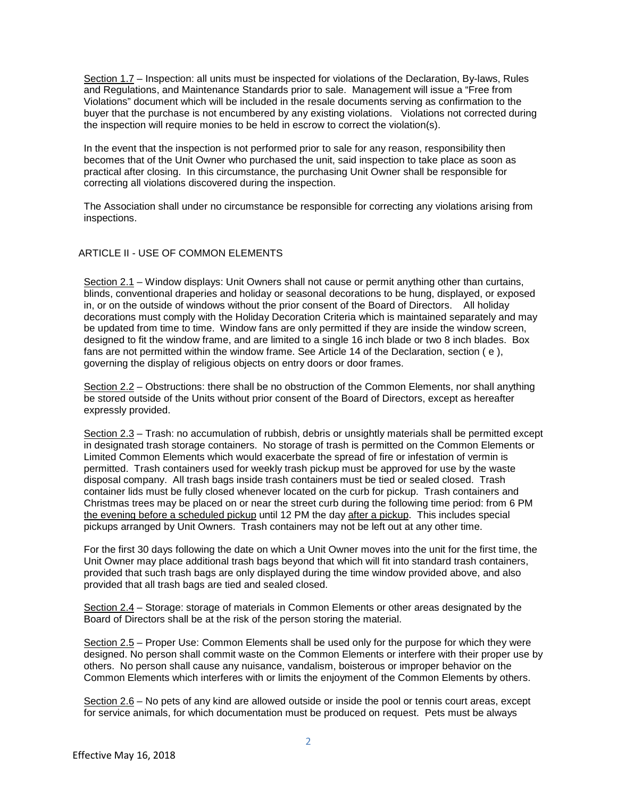Section 1.7 – Inspection: all units must be inspected for violations of the Declaration, By-laws, Rules and Regulations, and Maintenance Standards prior to sale. Management will issue a "Free from Violations" document which will be included in the resale documents serving as confirmation to the buyer that the purchase is not encumbered by any existing violations. Violations not corrected during the inspection will require monies to be held in escrow to correct the violation(s).

In the event that the inspection is not performed prior to sale for any reason, responsibility then becomes that of the Unit Owner who purchased the unit, said inspection to take place as soon as practical after closing. In this circumstance, the purchasing Unit Owner shall be responsible for correcting all violations discovered during the inspection.

The Association shall under no circumstance be responsible for correcting any violations arising from inspections.

#### ARTICLE II - USE OF COMMON ELEMENTS

Section 2.1 – Window displays: Unit Owners shall not cause or permit anything other than curtains, blinds, conventional draperies and holiday or seasonal decorations to be hung, displayed, or exposed in, or on the outside of windows without the prior consent of the Board of Directors. All holiday decorations must comply with the Holiday Decoration Criteria which is maintained separately and may be updated from time to time. Window fans are only permitted if they are inside the window screen, designed to fit the window frame, and are limited to a single 16 inch blade or two 8 inch blades. Box fans are not permitted within the window frame. See Article 14 of the Declaration, section ( e ), governing the display of religious objects on entry doors or door frames.

Section 2.2 – Obstructions: there shall be no obstruction of the Common Elements, nor shall anything be stored outside of the Units without prior consent of the Board of Directors, except as hereafter expressly provided.

Section 2.3 – Trash: no accumulation of rubbish, debris or unsightly materials shall be permitted except in designated trash storage containers. No storage of trash is permitted on the Common Elements or Limited Common Elements which would exacerbate the spread of fire or infestation of vermin is permitted. Trash containers used for weekly trash pickup must be approved for use by the waste disposal company. All trash bags inside trash containers must be tied or sealed closed. Trash container lids must be fully closed whenever located on the curb for pickup. Trash containers and Christmas trees may be placed on or near the street curb during the following time period: from 6 PM the evening before a scheduled pickup until 12 PM the day after a pickup. This includes special pickups arranged by Unit Owners. Trash containers may not be left out at any other time.

For the first 30 days following the date on which a Unit Owner moves into the unit for the first time, the Unit Owner may place additional trash bags beyond that which will fit into standard trash containers, provided that such trash bags are only displayed during the time window provided above, and also provided that all trash bags are tied and sealed closed.

Section 2.4 – Storage: storage of materials in Common Elements or other areas designated by the Board of Directors shall be at the risk of the person storing the material.

Section 2.5 – Proper Use: Common Elements shall be used only for the purpose for which they were designed. No person shall commit waste on the Common Elements or interfere with their proper use by others. No person shall cause any nuisance, vandalism, boisterous or improper behavior on the Common Elements which interferes with or limits the enjoyment of the Common Elements by others.

Section 2.6 – No pets of any kind are allowed outside or inside the pool or tennis court areas, except for service animals, for which documentation must be produced on request. Pets must be always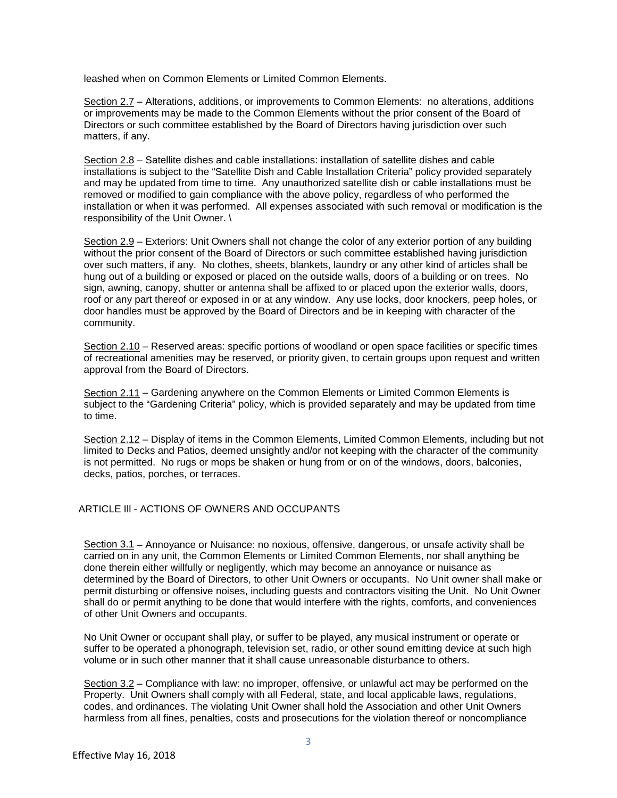leashed when on Common Elements or Limited Common Elements.

Section 2.7 – Alterations, additions, or improvements to Common Elements: no alterations, additions or improvements may be made to the Common Elements without the prior consent of the Board of Directors or such committee established by the Board of Directors having jurisdiction over such matters, if any.

Section 2.8 – Satellite dishes and cable installations: installation of satellite dishes and cable installations is subject to the "Satellite Dish and Cable Installation Criteria" policy provided separately and may be updated from time to time. Any unauthorized satellite dish or cable installations must be removed or modified to gain compliance with the above policy, regardless of who performed the installation or when it was performed. All expenses associated with such removal or modification is the responsibility of the Unit Owner. \

Section 2.9 – Exteriors: Unit Owners shall not change the color of any exterior portion of any building without the prior consent of the Board of Directors or such committee established having jurisdiction over such matters, if any. No clothes, sheets, blankets, laundry or any other kind of articles shall be hung out of a building or exposed or placed on the outside walls, doors of a building or on trees. No sign, awning, canopy, shutter or antenna shall be affixed to or placed upon the exterior walls, doors, roof or any part thereof or exposed in or at any window. Any use locks, door knockers, peep holes, or door handles must be approved by the Board of Directors and be in keeping with character of the community.

Section 2.10 – Reserved areas: specific portions of woodland or open space facilities or specific times of recreational amenities may be reserved, or priority given, to certain groups upon request and written approval from the Board of Directors.

Section 2.11 – Gardening anywhere on the Common Elements or Limited Common Elements is subject to the "Gardening Criteria" policy, which is provided separately and may be updated from time to time.

Section 2.12 – Display of items in the Common Elements, Limited Common Elements, including but not limited to Decks and Patios, deemed unsightly and/or not keeping with the character of the community is not permitted. No rugs or mops be shaken or hung from or on of the windows, doors, balconies, decks, patios, porches, or terraces.

#### ARTICLE III - ACTIONS OF OWNERS AND OCCUPANTS

Section 3.1 – Annoyance or Nuisance: no noxious, offensive, dangerous, or unsafe activity shall be carried on in any unit, the Common Elements or Limited Common Elements, nor shall anything be done therein either willfully or negligently, which may become an annoyance or nuisance as determined by the Board of Directors, to other Unit Owners or occupants. No Unit owner shall make or permit disturbing or offensive noises, including guests and contractors visiting the Unit. No Unit Owner shall do or permit anything to be done that would interfere with the rights, comforts, and conveniences of other Unit Owners and occupants.

No Unit Owner or occupant shall play, or suffer to be played, any musical instrument or operate or suffer to be operated a phonograph, television set, radio, or other sound emitting device at such high volume or in such other manner that it shall cause unreasonable disturbance to others.

Section 3.2 – Compliance with law: no improper, offensive, or unlawful act may be performed on the Property. Unit Owners shall comply with all Federal, state, and local applicable laws, regulations, codes, and ordinances. The violating Unit Owner shall hold the Association and other Unit Owners harmless from all fines, penalties, costs and prosecutions for the violation thereof or noncompliance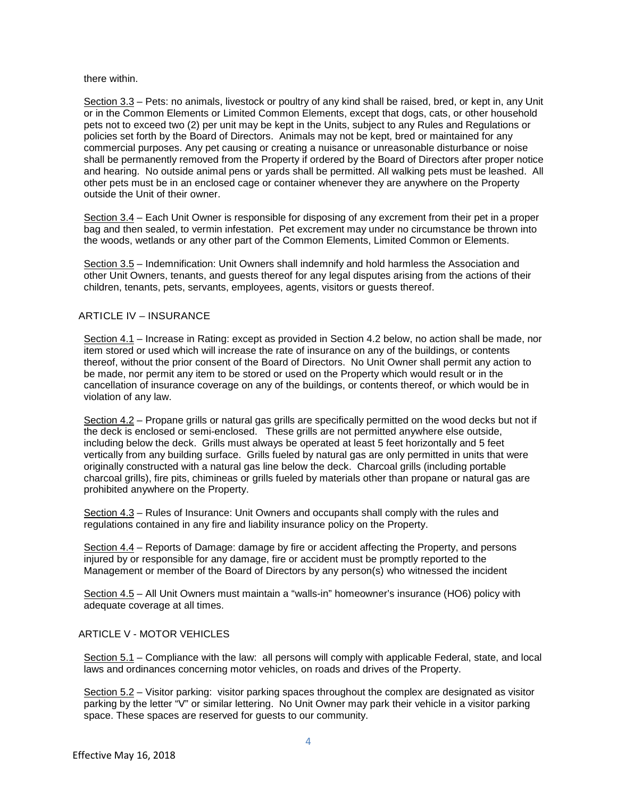#### there within.

Section 3.3 – Pets: no animals, livestock or poultry of any kind shall be raised, bred, or kept in, any Unit or in the Common Elements or Limited Common Elements, except that dogs, cats, or other household pets not to exceed two (2) per unit may be kept in the Units, subject to any Rules and Regulations or policies set forth by the Board of Directors. Animals may not be kept, bred or maintained for any commercial purposes. Any pet causing or creating a nuisance or unreasonable disturbance or noise shall be permanently removed from the Property if ordered by the Board of Directors after proper notice and hearing. No outside animal pens or yards shall be permitted. All walking pets must be leashed. All other pets must be in an enclosed cage or container whenever they are anywhere on the Property outside the Unit of their owner.

Section 3.4 – Each Unit Owner is responsible for disposing of any excrement from their pet in a proper bag and then sealed, to vermin infestation. Pet excrement may under no circumstance be thrown into the woods, wetlands or any other part of the Common Elements, Limited Common or Elements.

Section 3.5 – Indemnification: Unit Owners shall indemnify and hold harmless the Association and other Unit Owners, tenants, and guests thereof for any legal disputes arising from the actions of their children, tenants, pets, servants, employees, agents, visitors or guests thereof.

#### ARTICLE IV – INSURANCE

Section 4.1 – Increase in Rating: except as provided in Section 4.2 below, no action shall be made, nor item stored or used which will increase the rate of insurance on any of the buildings, or contents thereof, without the prior consent of the Board of Directors. No Unit Owner shall permit any action to be made, nor permit any item to be stored or used on the Property which would result or in the cancellation of insurance coverage on any of the buildings, or contents thereof, or which would be in violation of any law.

Section 4.2 – Propane grills or natural gas grills are specifically permitted on the wood decks but not if the deck is enclosed or semi-enclosed. These grills are not permitted anywhere else outside, including below the deck. Grills must always be operated at least 5 feet horizontally and 5 feet vertically from any building surface. Grills fueled by natural gas are only permitted in units that were originally constructed with a natural gas line below the deck. Charcoal grills (including portable charcoal grills), fire pits, chimineas or grills fueled by materials other than propane or natural gas are prohibited anywhere on the Property.

Section 4.3 – Rules of Insurance: Unit Owners and occupants shall comply with the rules and regulations contained in any fire and liability insurance policy on the Property.

Section 4.4 – Reports of Damage: damage by fire or accident affecting the Property, and persons injured by or responsible for any damage, fire or accident must be promptly reported to the Management or member of the Board of Directors by any person(s) who witnessed the incident

Section 4.5 – All Unit Owners must maintain a "walls-in" homeowner's insurance (HO6) policy with adequate coverage at all times.

#### ARTICLE V - MOTOR VEHICLES

Section 5.1 – Compliance with the law: all persons will comply with applicable Federal, state, and local laws and ordinances concerning motor vehicles, on roads and drives of the Property.

Section 5.2 - Visitor parking: visitor parking spaces throughout the complex are designated as visitor parking by the letter "V" or similar lettering. No Unit Owner may park their vehicle in a visitor parking space. These spaces are reserved for guests to our community.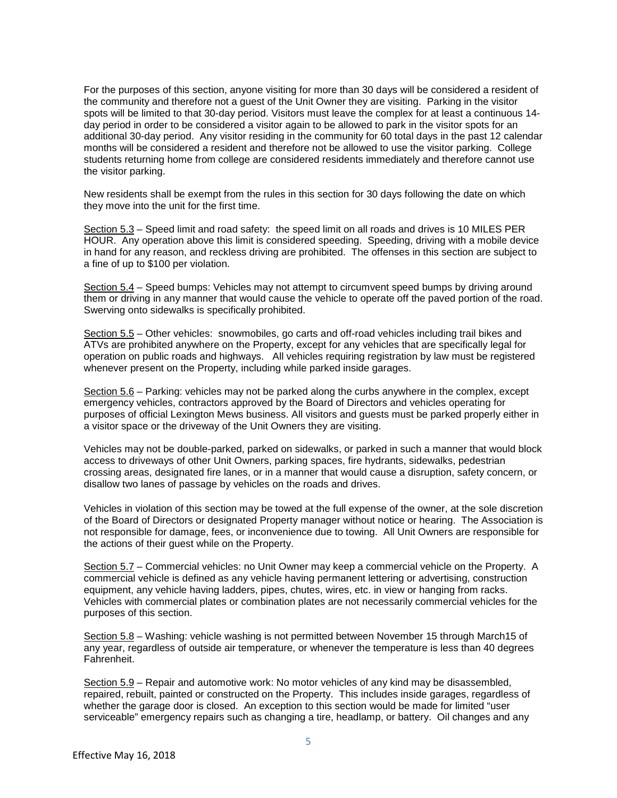For the purposes of this section, anyone visiting for more than 30 days will be considered a resident of the community and therefore not a guest of the Unit Owner they are visiting. Parking in the visitor spots will be limited to that 30-day period. Visitors must leave the complex for at least a continuous 14 day period in order to be considered a visitor again to be allowed to park in the visitor spots for an additional 30-day period. Any visitor residing in the community for 60 total days in the past 12 calendar months will be considered a resident and therefore not be allowed to use the visitor parking. College students returning home from college are considered residents immediately and therefore cannot use the visitor parking.

New residents shall be exempt from the rules in this section for 30 days following the date on which they move into the unit for the first time.

Section 5.3 – Speed limit and road safety: the speed limit on all roads and drives is 10 MILES PER HOUR. Any operation above this limit is considered speeding. Speeding, driving with a mobile device in hand for any reason, and reckless driving are prohibited. The offenses in this section are subject to a fine of up to \$100 per violation.

Section 5.4 – Speed bumps: Vehicles may not attempt to circumvent speed bumps by driving around them or driving in any manner that would cause the vehicle to operate off the paved portion of the road. Swerving onto sidewalks is specifically prohibited.

Section 5.5 – Other vehicles: snowmobiles, go carts and off-road vehicles including trail bikes and ATVs are prohibited anywhere on the Property, except for any vehicles that are specifically legal for operation on public roads and highways. All vehicles requiring registration by law must be registered whenever present on the Property, including while parked inside garages.

Section 5.6 – Parking: vehicles may not be parked along the curbs anywhere in the complex, except emergency vehicles, contractors approved by the Board of Directors and vehicles operating for purposes of official Lexington Mews business. All visitors and guests must be parked properly either in a visitor space or the driveway of the Unit Owners they are visiting.

Vehicles may not be double-parked, parked on sidewalks, or parked in such a manner that would block access to driveways of other Unit Owners, parking spaces, fire hydrants, sidewalks, pedestrian crossing areas, designated fire lanes, or in a manner that would cause a disruption, safety concern, or disallow two lanes of passage by vehicles on the roads and drives.

Vehicles in violation of this section may be towed at the full expense of the owner, at the sole discretion of the Board of Directors or designated Property manager without notice or hearing. The Association is not responsible for damage, fees, or inconvenience due to towing. All Unit Owners are responsible for the actions of their guest while on the Property.

Section 5.7 – Commercial vehicles: no Unit Owner may keep a commercial vehicle on the Property. A commercial vehicle is defined as any vehicle having permanent lettering or advertising, construction equipment, any vehicle having ladders, pipes, chutes, wires, etc. in view or hanging from racks. Vehicles with commercial plates or combination plates are not necessarily commercial vehicles for the purposes of this section.

Section 5.8 – Washing: vehicle washing is not permitted between November 15 through March15 of any year, regardless of outside air temperature, or whenever the temperature is less than 40 degrees Fahrenheit.

Section 5.9 – Repair and automotive work: No motor vehicles of any kind may be disassembled, repaired, rebuilt, painted or constructed on the Property. This includes inside garages, regardless of whether the garage door is closed. An exception to this section would be made for limited "user serviceable" emergency repairs such as changing a tire, headlamp, or battery. Oil changes and any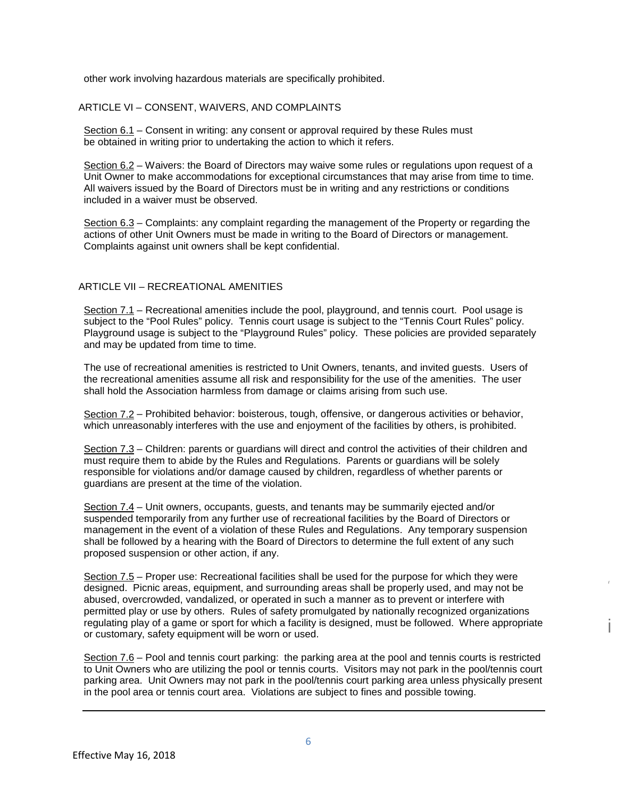other work involving hazardous materials are specifically prohibited.

#### ARTICLE VI – CONSENT, WAIVERS, AND COMPLAINTS

Section 6.1 – Consent in writing: any consent or approval required by these Rules must be obtained in writing prior to undertaking the action to which it refers.

Section 6.2 – Waivers: the Board of Directors may waive some rules or regulations upon request of a Unit Owner to make accommodations for exceptional circumstances that may arise from time to time. All waivers issued by the Board of Directors must be in writing and any restrictions or conditions included in a waiver must be observed.

Section 6.3 – Complaints: any complaint regarding the management of the Property or regarding the actions of other Unit Owners must be made in writing to the Board of Directors or management. Complaints against unit owners shall be kept confidential.

#### ARTICLE VII – RECREATIONAL AMENITIES

Section 7.1 – Recreational amenities include the pool, playground, and tennis court. Pool usage is subject to the "Pool Rules" policy. Tennis court usage is subject to the "Tennis Court Rules" policy. Playground usage is subject to the "Playground Rules" policy. These policies are provided separately and may be updated from time to time.

The use of recreational amenities is restricted to Unit Owners, tenants, and invited guests. Users of the recreational amenities assume all risk and responsibility for the use of the amenities. The user shall hold the Association harmless from damage or claims arising from such use.

Section 7.2 – Prohibited behavior: boisterous, tough, offensive, or dangerous activities or behavior, which unreasonably interferes with the use and enjoyment of the facilities by others, is prohibited.

Section 7.3 – Children: parents or guardians will direct and control the activities of their children and must require them to abide by the Rules and Regulations. Parents or guardians will be solely responsible for violations and/or damage caused by children, regardless of whether parents or guardians are present at the time of the violation.

Section 7.4 – Unit owners, occupants, guests, and tenants may be summarily ejected and/or suspended temporarily from any further use of recreational facilities by the Board of Directors or management in the event of a violation of these Rules and Regulations. Any temporary suspension shall be followed by a hearing with the Board of Directors to determine the full extent of any such proposed suspension or other action, if any.

Section 7.5 – Proper use: Recreational facilities shall be used for the purpose for which they were designed. Picnic areas, equipment, and surrounding areas shall be properly used, and may not be abused, overcrowded, vandalized, or operated in such a manner as to prevent or interfere with permitted play or use by others. Rules of safety promulgated by nationally recognized organizations regulating play of a game or sport for which a facility is designed, must be followed. Where appropriate or customary, safety equipment will be worn or used.

i

*I*

Section 7.6 – Pool and tennis court parking: the parking area at the pool and tennis courts is restricted to Unit Owners who are utilizing the pool or tennis courts. Visitors may not park in the pool/tennis court parking area. Unit Owners may not park in the pool/tennis court parking area unless physically present in the pool area or tennis court area. Violations are subject to fines and possible towing.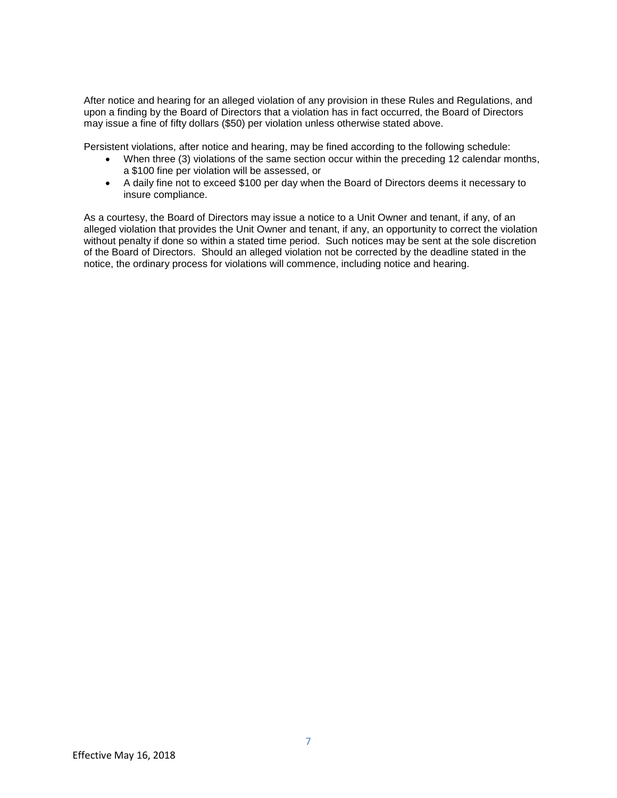After notice and hearing for an alleged violation of any provision in these Rules and Regulations, and upon a finding by the Board of Directors that a violation has in fact occurred, the Board of Directors may issue a fine of fifty dollars (\$50) per violation unless otherwise stated above.

Persistent violations, after notice and hearing, may be fined according to the following schedule:

- When three (3) violations of the same section occur within the preceding 12 calendar months, a \$100 fine per violation will be assessed, or
- A daily fine not to exceed \$100 per day when the Board of Directors deems it necessary to insure compliance.

As a courtesy, the Board of Directors may issue a notice to a Unit Owner and tenant, if any, of an alleged violation that provides the Unit Owner and tenant, if any, an opportunity to correct the violation without penalty if done so within a stated time period. Such notices may be sent at the sole discretion of the Board of Directors. Should an alleged violation not be corrected by the deadline stated in the notice, the ordinary process for violations will commence, including notice and hearing.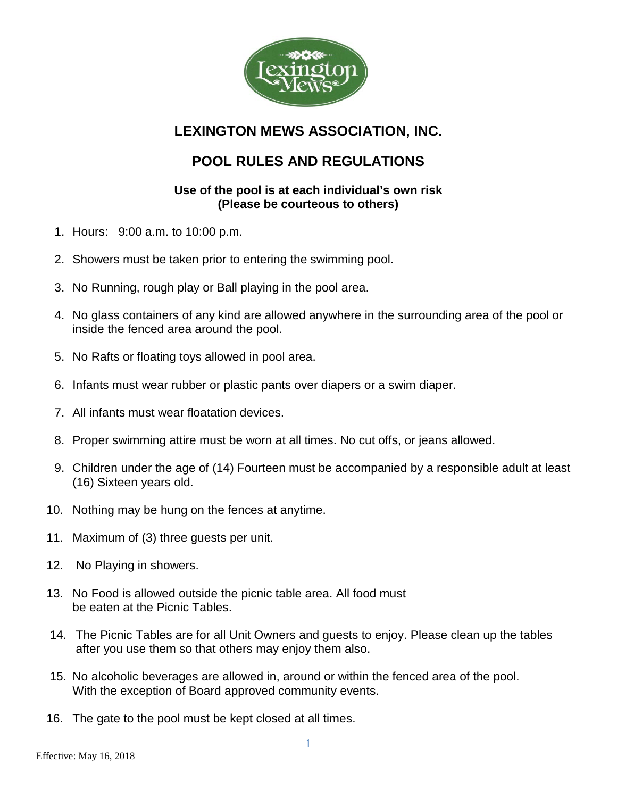

## **LEXINGTON MEWS ASSOCIATION, INC.**

# **POOL RULES AND REGULATIONS**

### **Use of the pool is at each individual's own risk (Please be courteous to others)**

- 1. Hours: 9:00 a.m. to 10:00 p.m.
- 2. Showers must be taken prior to entering the swimming pool.
- 3. No Running, rough play or Ball playing in the pool area.
- 4. No glass containers of any kind are allowed anywhere in the surrounding area of the pool or inside the fenced area around the pool.
- 5. No Rafts or floating toys allowed in pool area.
- 6. Infants must wear rubber or plastic pants over diapers or a swim diaper.
- 7. All infants must wear floatation devices.
- 8. Proper swimming attire must be worn at all times. No cut offs, or jeans allowed.
- 9. Children under the age of (14) Fourteen must be accompanied by a responsible adult at least (16) Sixteen years old.
- 10. Nothing may be hung on the fences at anytime.
- 11. Maximum of (3) three guests per unit.
- 12. No Playing in showers.
- 13. No Food is allowed outside the picnic table area. All food must be eaten at the Picnic Tables.
- 14. The Picnic Tables are for all Unit Owners and guests to enjoy. Please clean up the tables after you use them so that others may enjoy them also.
- 15. No alcoholic beverages are allowed in, around or within the fenced area of the pool. With the exception of Board approved community events.
- 16. The gate to the pool must be kept closed at all times.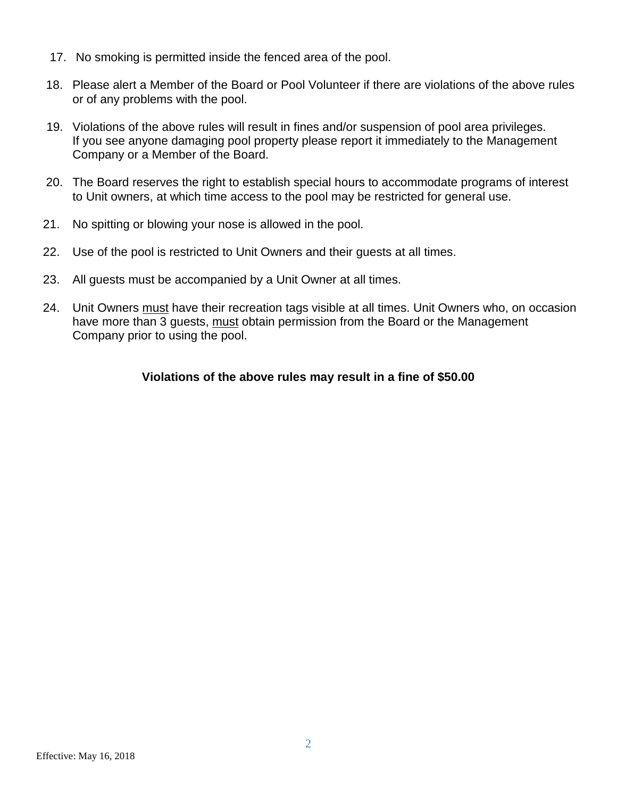- 17. No smoking is permitted inside the fenced area of the pool.
- 18. Please alert a Member of the Board or Pool Volunteer if there are violations of the above rules or of any problems with the pool.
- 19. Violations of the above rules will result in fines and/or suspension of pool area privileges. If you see anyone damaging pool property please report it immediately to the Management Company or a Member of the Board.
- 20. The Board reserves the right to establish special hours to accommodate programs of interest to Unit owners, at which time access to the pool may be restricted for general use.
- 21. No spitting or blowing your nose is allowed in the pool.
- 22. Use of the pool is restricted to Unit Owners and their guests at all times.
- 23. All guests must be accompanied by a Unit Owner at all times.
- 24. Unit Owners must have their recreation tags visible at all times. Unit Owners who, on occasion have more than 3 guests, must obtain permission from the Board or the Management Company prior to using the pool.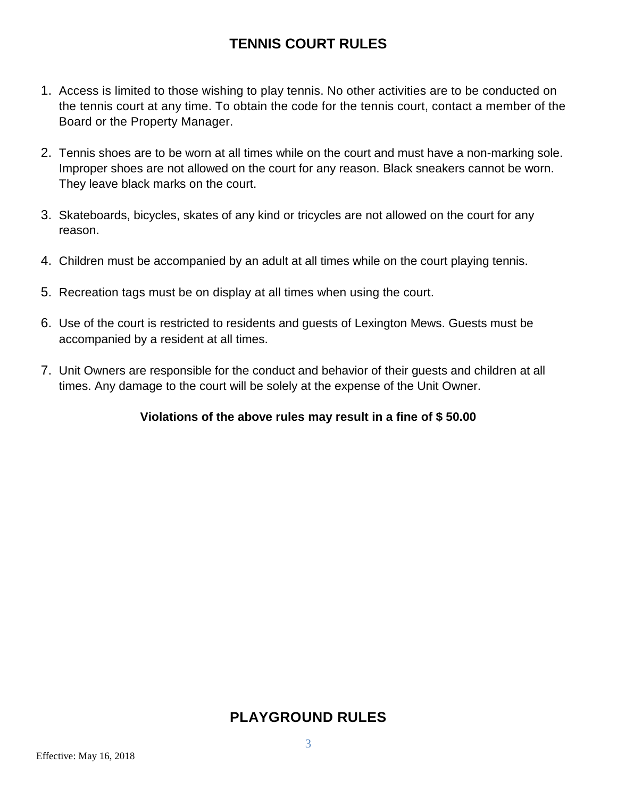# **TENNIS COURT RULES**

- 1. Access is limited to those wishing to play tennis. No other activities are to be conducted on the tennis court at any time. To obtain the code for the tennis court, contact a member of the Board or the Property Manager.
- 2. Tennis shoes are to be worn at all times while on the court and must have a non-marking sole. Improper shoes are not allowed on the court for any reason. Black sneakers cannot be worn. They leave black marks on the court.
- 3. Skateboards, bicycles, skates of any kind or tricycles are not allowed on the court for any reason.
- 4. Children must be accompanied by an adult at all times while on the court playing tennis.
- 5. Recreation tags must be on display at all times when using the court.
- 6. Use of the court is restricted to residents and guests of Lexington Mews. Guests must be accompanied by a resident at all times.
- 7. Unit Owners are responsible for the conduct and behavior of their guests and children at all times. Any damage to the court will be solely at the expense of the Unit Owner.

#### **Violations of the above rules may result in a fine of \$ 50.00**

## **PLAYGROUND RULES**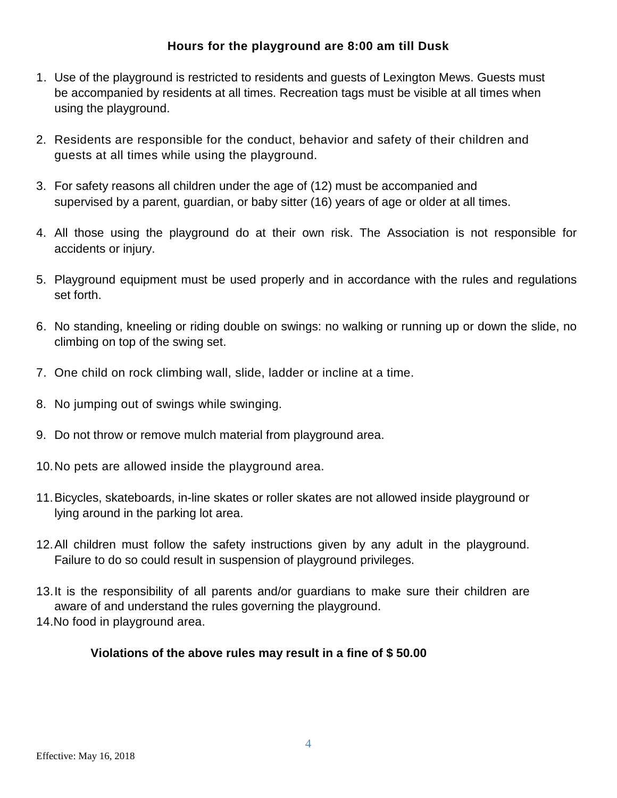### **Hours for the playground are 8:00 am till Dusk**

- 1. Use of the playground is restricted to residents and guests of Lexington Mews. Guests must be accompanied by residents at all times. Recreation tags must be visible at all times when using the playground.
- 2. Residents are responsible for the conduct, behavior and safety of their children and guests at all times while using the playground.
- 3. For safety reasons all children under the age of (12) must be accompanied and supervised by a parent, guardian, or baby sitter (16) years of age or older at all times.
- 4. All those using the playground do at their own risk. The Association is not responsible for accidents or injury.
- 5. Playground equipment must be used properly and in accordance with the rules and regulations set forth.
- 6. No standing, kneeling or riding double on swings: no walking or running up or down the slide, no climbing on top of the swing set.
- 7. One child on rock climbing wall, slide, ladder or incline at a time.
- 8. No jumping out of swings while swinging.
- 9. Do not throw or remove mulch material from playground area.
- 10.No pets are allowed inside the playground area.
- 11.Bicycles, skateboards, in-line skates or roller skates are not allowed inside playground or lying around in the parking lot area.
- 12.All children must follow the safety instructions given by any adult in the playground. Failure to do so could result in suspension of playground privileges.
- 13.It is the responsibility of all parents and/or guardians to make sure their children are aware of and understand the rules governing the playground.
- 14.No food in playground area.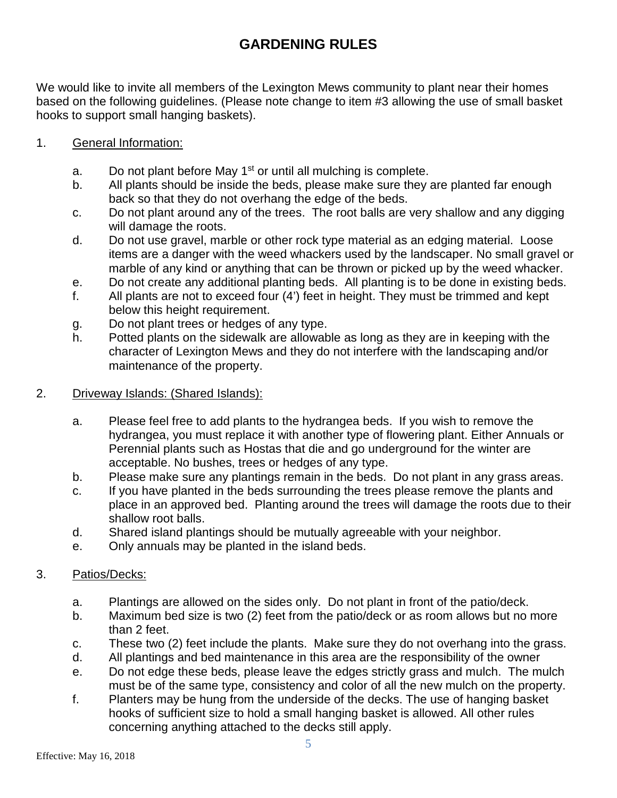# **GARDENING RULES**

We would like to invite all members of the Lexington Mews community to plant near their homes based on the following guidelines. (Please note change to item #3 allowing the use of small basket hooks to support small hanging baskets).

### 1. General Information:

- a. Do not plant before May  $1<sup>st</sup>$  or until all mulching is complete.
- b. All plants should be inside the beds, please make sure they are planted far enough back so that they do not overhang the edge of the beds.
- c. Do not plant around any of the trees. The root balls are very shallow and any digging will damage the roots.
- d. Do not use gravel, marble or other rock type material as an edging material. Loose items are a danger with the weed whackers used by the landscaper. No small gravel or marble of any kind or anything that can be thrown or picked up by the weed whacker.
- e. Do not create any additional planting beds. All planting is to be done in existing beds.
- f. All plants are not to exceed four (4') feet in height. They must be trimmed and kept below this height requirement.
- g. Do not plant trees or hedges of any type.
- h. Potted plants on the sidewalk are allowable as long as they are in keeping with the character of Lexington Mews and they do not interfere with the landscaping and/or maintenance of the property.

#### 2. Driveway Islands: (Shared Islands):

- a. Please feel free to add plants to the hydrangea beds. If you wish to remove the hydrangea, you must replace it with another type of flowering plant. Either Annuals or Perennial plants such as Hostas that die and go underground for the winter are acceptable. No bushes, trees or hedges of any type.
- b. Please make sure any plantings remain in the beds. Do not plant in any grass areas.
- c. If you have planted in the beds surrounding the trees please remove the plants and place in an approved bed. Planting around the trees will damage the roots due to their shallow root balls.
- d. Shared island plantings should be mutually agreeable with your neighbor.
- e. Only annuals may be planted in the island beds.

### 3. Patios/Decks:

- a. Plantings are allowed on the sides only. Do not plant in front of the patio/deck.
- b. Maximum bed size is two (2) feet from the patio/deck or as room allows but no more than 2 feet.
- c. These two (2) feet include the plants. Make sure they do not overhang into the grass.
- d. All plantings and bed maintenance in this area are the responsibility of the owner
- e. Do not edge these beds, please leave the edges strictly grass and mulch. The mulch must be of the same type, consistency and color of all the new mulch on the property.
- f. Planters may be hung from the underside of the decks. The use of hanging basket hooks of sufficient size to hold a small hanging basket is allowed. All other rules concerning anything attached to the decks still apply.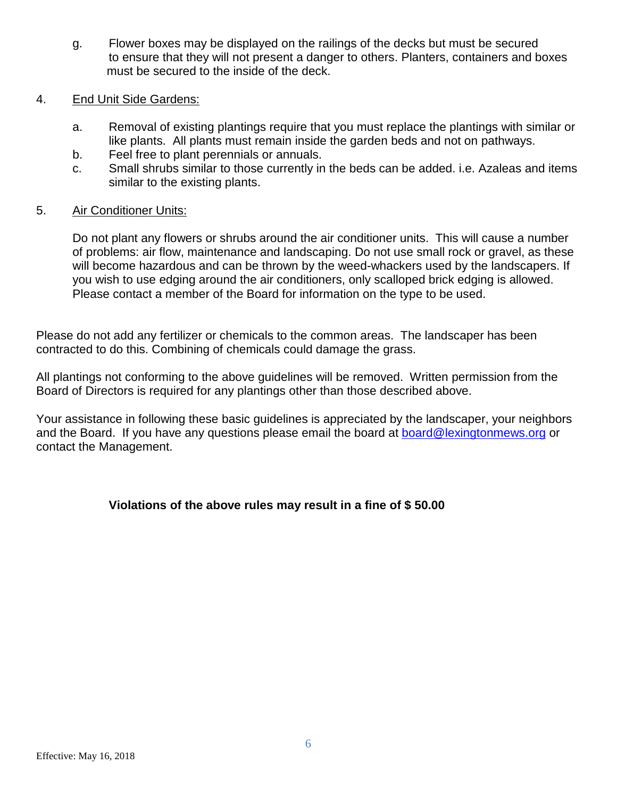- g. Flower boxes may be displayed on the railings of the decks but must be secured to ensure that they will not present a danger to others. Planters, containers and boxes must be secured to the inside of the deck.
- 4. End Unit Side Gardens:
	- a. Removal of existing plantings require that you must replace the plantings with similar or like plants. All plants must remain inside the garden beds and not on pathways.
	- b. Feel free to plant perennials or annuals.
	- c. Small shrubs similar to those currently in the beds can be added. i.e. Azaleas and items similar to the existing plants.

### 5. Air Conditioner Units:

Do not plant any flowers or shrubs around the air conditioner units. This will cause a number of problems: air flow, maintenance and landscaping. Do not use small rock or gravel, as these will become hazardous and can be thrown by the weed-whackers used by the landscapers. If you wish to use edging around the air conditioners, only scalloped brick edging is allowed. Please contact a member of the Board for information on the type to be used.

Please do not add any fertilizer or chemicals to the common areas. The landscaper has been contracted to do this. Combining of chemicals could damage the grass.

All plantings not conforming to the above guidelines will be removed. Written permission from the Board of Directors is required for any plantings other than those described above.

Your assistance in following these basic guidelines is appreciated by the landscaper, your neighbors and the Board. If you have any questions please email the board at [board@lexingtonmews.org](mailto:board@lexingtonmews.org) or contact the Management.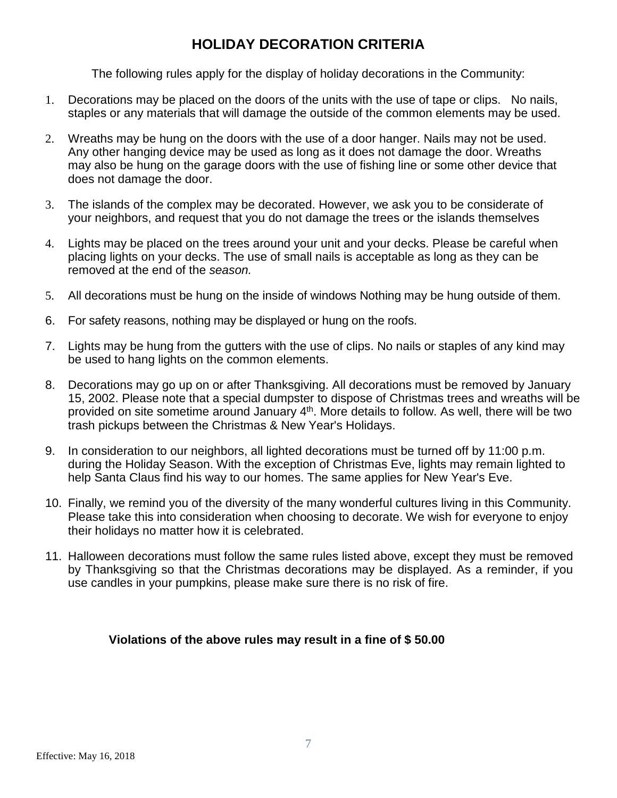## **HOLIDAY DECORATION CRITERIA**

The following rules apply for the display of holiday decorations in the Community:

- 1. Decorations may be placed on the doors of the units with the use of tape or clips. No nails, staples or any materials that will damage the outside of the common elements may be used.
- 2. Wreaths may be hung on the doors with the use of a door hanger. Nails may not be used. Any other hanging device may be used as long as it does not damage the door. Wreaths may also be hung on the garage doors with the use of fishing line or some other device that does not damage the door.
- 3. The islands of the complex may be decorated. However, we ask you to be considerate of your neighbors, and request that you do not damage the trees or the islands themselves
- 4. Lights may be placed on the trees around your unit and your decks. Please be careful when placing lights on your decks. The use of small nails is acceptable as long as they can be removed at the end of the *season.*
- 5. All decorations must be hung on the inside of windows Nothing may be hung outside of them.
- 6. For safety reasons, nothing may be displayed or hung on the roofs.
- 7. Lights may be hung from the gutters with the use of clips. No nails or staples of any kind may be used to hang lights on the common elements.
- 8. Decorations may go up on or after Thanksgiving. All decorations must be removed by January 15, 2002. Please note that a special dumpster to dispose of Christmas trees and wreaths will be provided on site sometime around January 4<sup>th</sup>. More details to follow. As well, there will be two trash pickups between the Christmas & New Year's Holidays.
- 9. In consideration to our neighbors, all lighted decorations must be turned off by 11:00 p.m. during the Holiday Season. With the exception of Christmas Eve, lights may remain lighted to help Santa Claus find his way to our homes. The same applies for New Year's Eve.
- 10. Finally, we remind you of the diversity of the many wonderful cultures living in this Community. Please take this into consideration when choosing to decorate. We wish for everyone to enjoy their holidays no matter how it is celebrated.
- 11. Halloween decorations must follow the same rules listed above, except they must be removed by Thanksgiving so that the Christmas decorations may be displayed. As a reminder, if you use candles in your pumpkins, please make sure there is no risk of fire.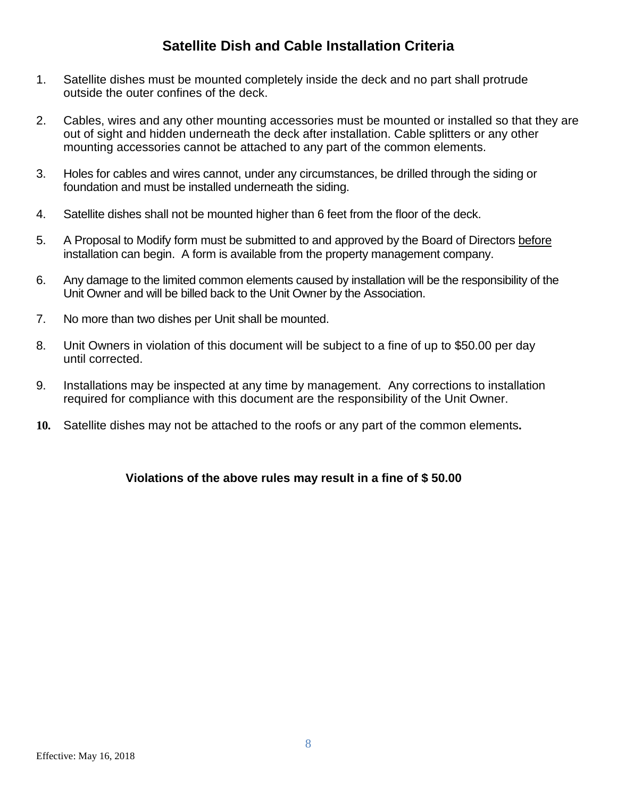## **Satellite Dish and Cable Installation Criteria**

- 1. Satellite dishes must be mounted completely inside the deck and no part shall protrude outside the outer confines of the deck.
- 2. Cables, wires and any other mounting accessories must be mounted or installed so that they are out of sight and hidden underneath the deck after installation. Cable splitters or any other mounting accessories cannot be attached to any part of the common elements.
- 3. Holes for cables and wires cannot, under any circumstances, be drilled through the siding or foundation and must be installed underneath the siding.
- 4. Satellite dishes shall not be mounted higher than 6 feet from the floor of the deck.
- 5. A Proposal to Modify form must be submitted to and approved by the Board of Directors before installation can begin. A form is available from the property management company.
- 6. Any damage to the limited common elements caused by installation will be the responsibility of the Unit Owner and will be billed back to the Unit Owner by the Association.
- 7. No more than two dishes per Unit shall be mounted.
- 8. Unit Owners in violation of this document will be subject to a fine of up to \$50.00 per day until corrected.
- 9. Installations may be inspected at any time by management. Any corrections to installation required for compliance with this document are the responsibility of the Unit Owner.
- **10.** Satellite dishes may not be attached to the roofs or any part of the common elements**.**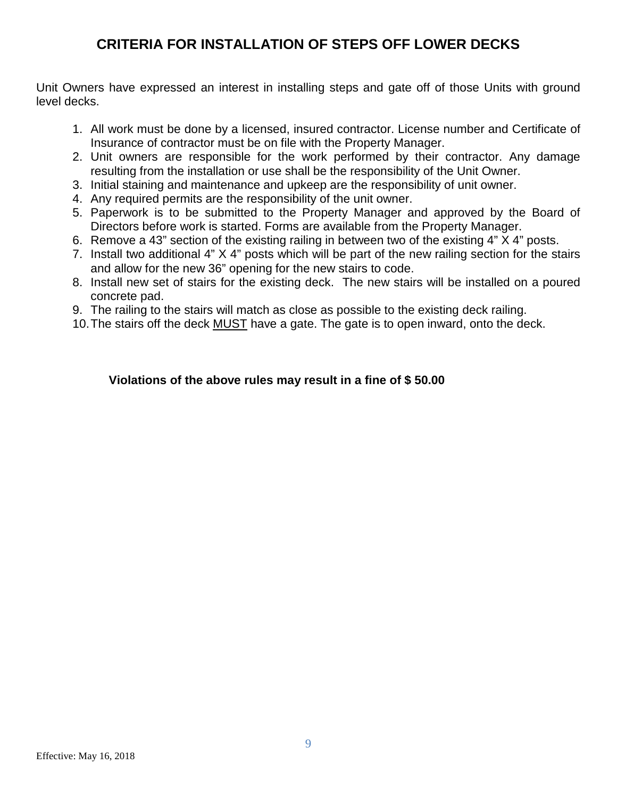## **CRITERIA FOR INSTALLATION OF STEPS OFF LOWER DECKS**

Unit Owners have expressed an interest in installing steps and gate off of those Units with ground level decks.

- 1. All work must be done by a licensed, insured contractor. License number and Certificate of Insurance of contractor must be on file with the Property Manager.
- 2. Unit owners are responsible for the work performed by their contractor. Any damage resulting from the installation or use shall be the responsibility of the Unit Owner.
- 3. Initial staining and maintenance and upkeep are the responsibility of unit owner.
- 4. Any required permits are the responsibility of the unit owner.
- 5. Paperwork is to be submitted to the Property Manager and approved by the Board of Directors before work is started. Forms are available from the Property Manager.
- 6. Remove a 43" section of the existing railing in between two of the existing 4" X 4" posts.
- 7. Install two additional 4" X 4" posts which will be part of the new railing section for the stairs and allow for the new 36" opening for the new stairs to code.
- 8. Install new set of stairs for the existing deck. The new stairs will be installed on a poured concrete pad.
- 9. The railing to the stairs will match as close as possible to the existing deck railing.
- 10.The stairs off the deck MUST have a gate. The gate is to open inward, onto the deck.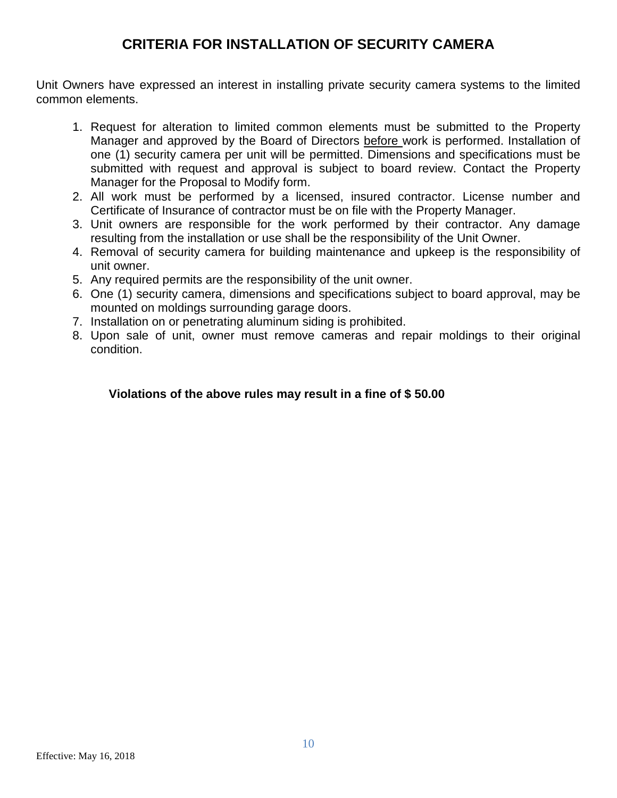## **CRITERIA FOR INSTALLATION OF SECURITY CAMERA**

Unit Owners have expressed an interest in installing private security camera systems to the limited common elements.

- 1. Request for alteration to limited common elements must be submitted to the Property Manager and approved by the Board of Directors before work is performed. Installation of one (1) security camera per unit will be permitted. Dimensions and specifications must be submitted with request and approval is subject to board review. Contact the Property Manager for the Proposal to Modify form.
- 2. All work must be performed by a licensed, insured contractor. License number and Certificate of Insurance of contractor must be on file with the Property Manager.
- 3. Unit owners are responsible for the work performed by their contractor. Any damage resulting from the installation or use shall be the responsibility of the Unit Owner.
- 4. Removal of security camera for building maintenance and upkeep is the responsibility of unit owner.
- 5. Any required permits are the responsibility of the unit owner.
- 6. One (1) security camera, dimensions and specifications subject to board approval, may be mounted on moldings surrounding garage doors.
- 7. Installation on or penetrating aluminum siding is prohibited.
- 8. Upon sale of unit, owner must remove cameras and repair moldings to their original condition.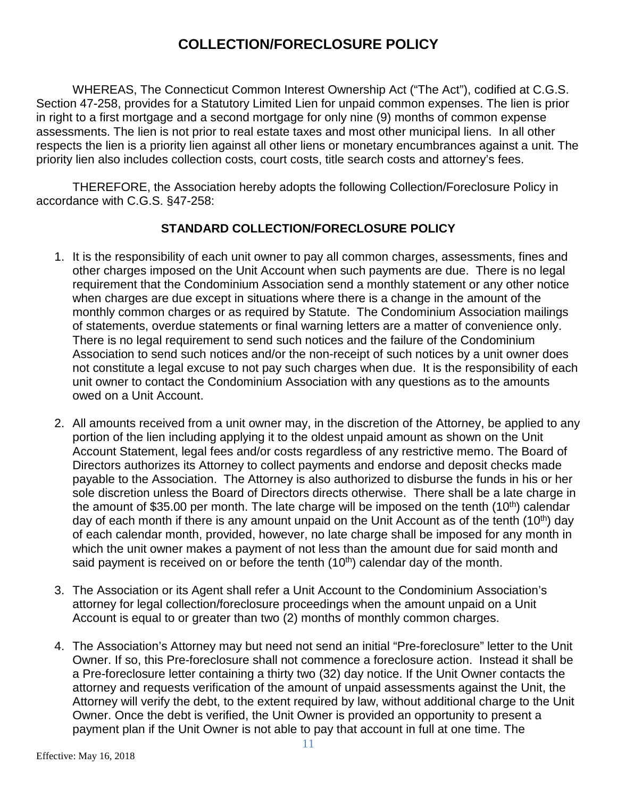## **COLLECTION/FORECLOSURE POLICY**

WHEREAS, The Connecticut Common Interest Ownership Act ("The Act"), codified at C.G.S. Section 47-258, provides for a Statutory Limited Lien for unpaid common expenses. The lien is prior in right to a first mortgage and a second mortgage for only nine (9) months of common expense assessments. The lien is not prior to real estate taxes and most other municipal liens. In all other respects the lien is a priority lien against all other liens or monetary encumbrances against a unit. The priority lien also includes collection costs, court costs, title search costs and attorney's fees.

THEREFORE, the Association hereby adopts the following Collection/Foreclosure Policy in accordance with C.G.S. §47-258:

### **STANDARD COLLECTION/FORECLOSURE POLICY**

- 1. It is the responsibility of each unit owner to pay all common charges, assessments, fines and other charges imposed on the Unit Account when such payments are due. There is no legal requirement that the Condominium Association send a monthly statement or any other notice when charges are due except in situations where there is a change in the amount of the monthly common charges or as required by Statute. The Condominium Association mailings of statements, overdue statements or final warning letters are a matter of convenience only. There is no legal requirement to send such notices and the failure of the Condominium Association to send such notices and/or the non-receipt of such notices by a unit owner does not constitute a legal excuse to not pay such charges when due. It is the responsibility of each unit owner to contact the Condominium Association with any questions as to the amounts owed on a Unit Account.
- 2. All amounts received from a unit owner may, in the discretion of the Attorney, be applied to any portion of the lien including applying it to the oldest unpaid amount as shown on the Unit Account Statement, legal fees and/or costs regardless of any restrictive memo. The Board of Directors authorizes its Attorney to collect payments and endorse and deposit checks made payable to the Association. The Attorney is also authorized to disburse the funds in his or her sole discretion unless the Board of Directors directs otherwise. There shall be a late charge in the amount of \$35.00 per month. The late charge will be imposed on the tenth  $(10<sup>th</sup>)$  calendar day of each month if there is any amount unpaid on the Unit Account as of the tenth (10<sup>th</sup>) day of each calendar month, provided, however, no late charge shall be imposed for any month in which the unit owner makes a payment of not less than the amount due for said month and said payment is received on or before the tenth  $(10<sup>th</sup>)$  calendar day of the month.
- 3. The Association or its Agent shall refer a Unit Account to the Condominium Association's attorney for legal collection/foreclosure proceedings when the amount unpaid on a Unit Account is equal to or greater than two (2) months of monthly common charges.
- 4. The Association's Attorney may but need not send an initial "Pre-foreclosure" letter to the Unit Owner. If so, this Pre-foreclosure shall not commence a foreclosure action. Instead it shall be a Pre-foreclosure letter containing a thirty two (32) day notice. If the Unit Owner contacts the attorney and requests verification of the amount of unpaid assessments against the Unit, the Attorney will verify the debt, to the extent required by law, without additional charge to the Unit Owner. Once the debt is verified, the Unit Owner is provided an opportunity to present a payment plan if the Unit Owner is not able to pay that account in full at one time. The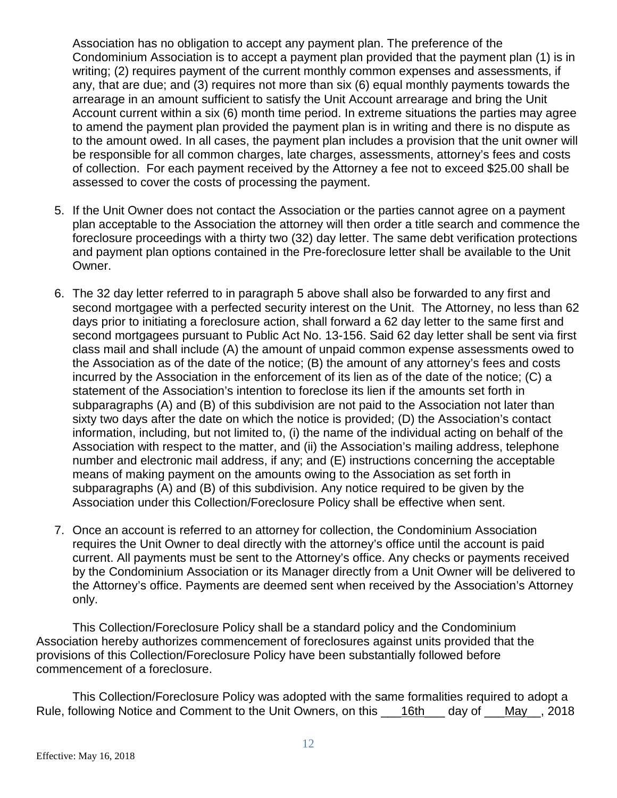Association has no obligation to accept any payment plan. The preference of the Condominium Association is to accept a payment plan provided that the payment plan (1) is in writing; (2) requires payment of the current monthly common expenses and assessments, if any, that are due; and (3) requires not more than six (6) equal monthly payments towards the arrearage in an amount sufficient to satisfy the Unit Account arrearage and bring the Unit Account current within a six (6) month time period. In extreme situations the parties may agree to amend the payment plan provided the payment plan is in writing and there is no dispute as to the amount owed. In all cases, the payment plan includes a provision that the unit owner will be responsible for all common charges, late charges, assessments, attorney's fees and costs of collection. For each payment received by the Attorney a fee not to exceed \$25.00 shall be assessed to cover the costs of processing the payment.

- 5. If the Unit Owner does not contact the Association or the parties cannot agree on a payment plan acceptable to the Association the attorney will then order a title search and commence the foreclosure proceedings with a thirty two (32) day letter. The same debt verification protections and payment plan options contained in the Pre-foreclosure letter shall be available to the Unit Owner.
- 6. The 32 day letter referred to in paragraph 5 above shall also be forwarded to any first and second mortgagee with a perfected security interest on the Unit. The Attorney, no less than 62 days prior to initiating a foreclosure action, shall forward a 62 day letter to the same first and second mortgagees pursuant to Public Act No. 13-156. Said 62 day letter shall be sent via first class mail and shall include (A) the amount of unpaid common expense assessments owed to the Association as of the date of the notice; (B) the amount of any attorney's fees and costs incurred by the Association in the enforcement of its lien as of the date of the notice; (C) a statement of the Association's intention to foreclose its lien if the amounts set forth in subparagraphs (A) and (B) of this subdivision are not paid to the Association not later than sixty two days after the date on which the notice is provided; (D) the Association's contact information, including, but not limited to, (i) the name of the individual acting on behalf of the Association with respect to the matter, and (ii) the Association's mailing address, telephone number and electronic mail address, if any; and (E) instructions concerning the acceptable means of making payment on the amounts owing to the Association as set forth in subparagraphs (A) and (B) of this subdivision. Any notice required to be given by the Association under this Collection/Foreclosure Policy shall be effective when sent.
- 7. Once an account is referred to an attorney for collection, the Condominium Association requires the Unit Owner to deal directly with the attorney's office until the account is paid current. All payments must be sent to the Attorney's office. Any checks or payments received by the Condominium Association or its Manager directly from a Unit Owner will be delivered to the Attorney's office. Payments are deemed sent when received by the Association's Attorney only.

This Collection/Foreclosure Policy shall be a standard policy and the Condominium Association hereby authorizes commencement of foreclosures against units provided that the provisions of this Collection/Foreclosure Policy have been substantially followed before commencement of a foreclosure.

This Collection/Foreclosure Policy was adopted with the same formalities required to adopt a Rule, following Notice and Comment to the Unit Owners, on this \_\_\_16th\_\_\_ day of \_\_\_May\_\_, 2018